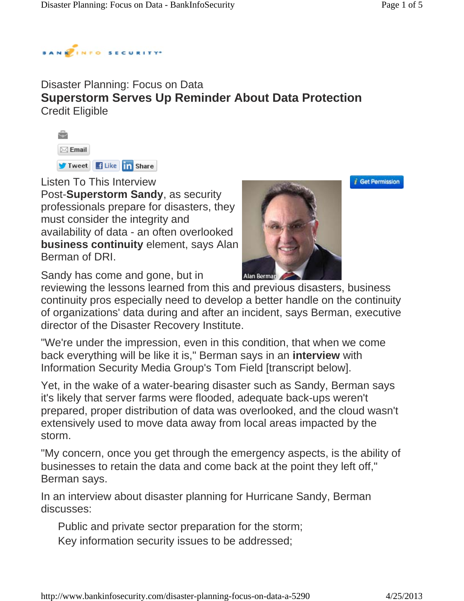

#### Disaster Planning: Focus on Data **Superstorm Serves Up Reminder About Data Protection** Credit Eligible



Listen To This Interview

Post-**Superstorm Sandy**, as security professionals prepare for disasters, they must consider the integrity and availability of data - an often overlooked **business continuity** element, says Alan Berman of DRI.



*i* Get Permission

Sandy has come and gone, but in

reviewing the lessons learned from this and previous disasters, business continuity pros especially need to develop a better handle on the continuity of organizations' data during and after an incident, says Berman, executive director of the Disaster Recovery Institute.

"We're under the impression, even in this condition, that when we come back everything will be like it is," Berman says in an **interview** with Information Security Media Group's Tom Field [transcript below].

Yet, in the wake of a water-bearing disaster such as Sandy, Berman says it's likely that server farms were flooded, adequate back-ups weren't prepared, proper distribution of data was overlooked, and the cloud wasn't extensively used to move data away from local areas impacted by the storm.

"My concern, once you get through the emergency aspects, is the ability of businesses to retain the data and come back at the point they left off," Berman says.

In an interview about disaster planning for Hurricane Sandy, Berman discusses:

Public and private sector preparation for the storm; Key information security issues to be addressed;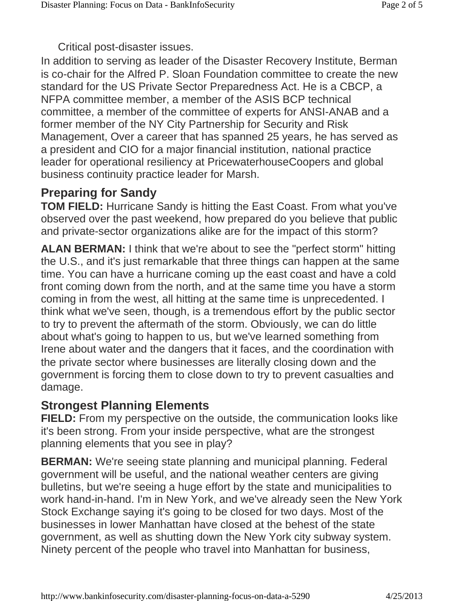Critical post-disaster issues.

In addition to serving as leader of the Disaster Recovery Institute, Berman is co-chair for the Alfred P. Sloan Foundation committee to create the new standard for the US Private Sector Preparedness Act. He is a CBCP, a NFPA committee member, a member of the ASIS BCP technical committee, a member of the committee of experts for ANSI-ANAB and a former member of the NY City Partnership for Security and Risk Management, Over a career that has spanned 25 years, he has served as a president and CIO for a major financial institution, national practice leader for operational resiliency at PricewaterhouseCoopers and global business continuity practice leader for Marsh.

### **Preparing for Sandy**

**TOM FIELD:** Hurricane Sandy is hitting the East Coast. From what you've observed over the past weekend, how prepared do you believe that public and private-sector organizations alike are for the impact of this storm?

**ALAN BERMAN:** I think that we're about to see the "perfect storm" hitting the U.S., and it's just remarkable that three things can happen at the same time. You can have a hurricane coming up the east coast and have a cold front coming down from the north, and at the same time you have a storm coming in from the west, all hitting at the same time is unprecedented. I think what we've seen, though, is a tremendous effort by the public sector to try to prevent the aftermath of the storm. Obviously, we can do little about what's going to happen to us, but we've learned something from Irene about water and the dangers that it faces, and the coordination with the private sector where businesses are literally closing down and the government is forcing them to close down to try to prevent casualties and damage.

#### **Strongest Planning Elements**

**FIELD:** From my perspective on the outside, the communication looks like it's been strong. From your inside perspective, what are the strongest planning elements that you see in play?

**BERMAN:** We're seeing state planning and municipal planning. Federal government will be useful, and the national weather centers are giving bulletins, but we're seeing a huge effort by the state and municipalities to work hand-in-hand. I'm in New York, and we've already seen the New York Stock Exchange saying it's going to be closed for two days. Most of the businesses in lower Manhattan have closed at the behest of the state government, as well as shutting down the New York city subway system. Ninety percent of the people who travel into Manhattan for business,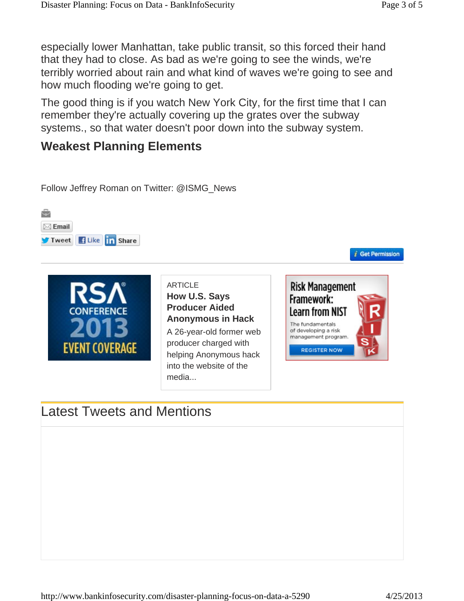especially lower Manhattan, take public transit, so this forced their hand that they had to close. As bad as we're going to see the winds, we're terribly worried about rain and what kind of waves we're going to see and how much flooding we're going to get.

The good thing is if you watch New York City, for the first time that I can remember they're actually covering up the grates over the subway systems., so that water doesn't poor down into the subway system.

## **Weakest Planning Elements**

Follow Jeffrey Roman on Twitter: @ISMG\_News





**ARTICLE How U.S. Says Producer Aided Anonymous in Hack** A 26-year-old former web producer charged with helping Anonymous hack into the website of the media...



*i* Get Permission

# Latest Tweets and Mentions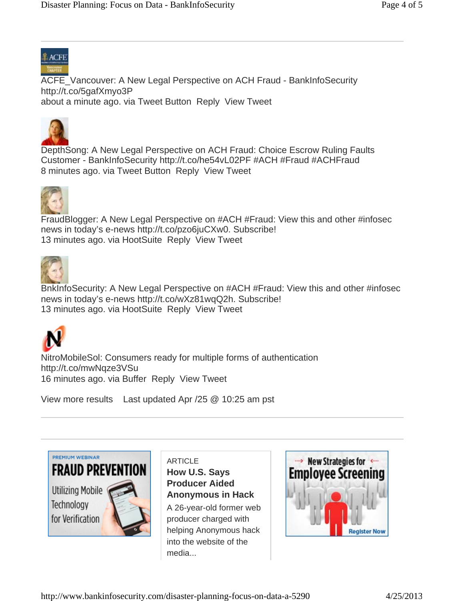

ACFE\_Vancouver: A New Legal Perspective on ACH Fraud - BankInfoSecurity http://t.co/5gafXmyo3P about a minute ago. via Tweet Button Reply View Tweet



DepthSong: A New Legal Perspective on ACH Fraud: Choice Escrow Ruling Faults Customer - BankInfoSecurity http://t.co/he54vL02PF #ACH #Fraud #ACHFraud 8 minutes ago. via Tweet Button Reply View Tweet



FraudBlogger: A New Legal Perspective on #ACH #Fraud: View this and other #infosec news in today's e-news http://t.co/pzo6juCXw0. Subscribe! 13 minutes ago. via HootSuite Reply View Tweet



BnkInfoSecurity: A New Legal Perspective on #ACH #Fraud: View this and other #infosec news in today's e-news http://t.co/wXz81wqQ2h. Subscribe! 13 minutes ago. via HootSuite Reply View Tweet



NitroMobileSol: Consumers ready for multiple forms of authentication http://t.co/mwNqze3VSu 16 minutes ago. via Buffer Reply View Tweet

View more results Last updated Apr /25 @ 10:25 am pst



**ARTICLE How U.S. Says Producer Aided Anonymous in Hack**

A 26-year-old former web producer charged with helping Anonymous hack into the website of the media...